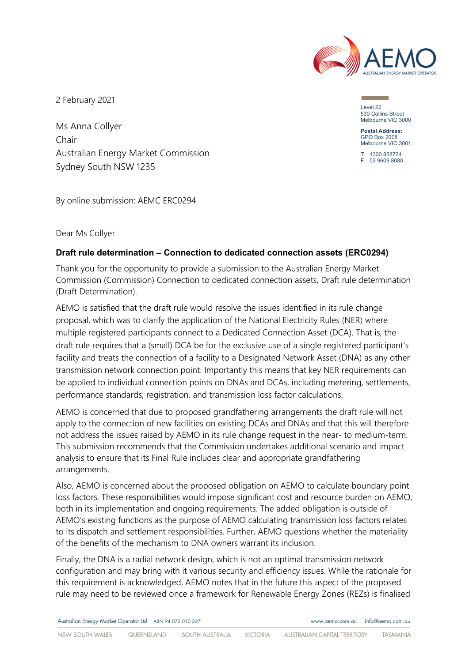

2 February 2021

Ms Anna Collyer Chair Australian Energy Market Commission Sydney South NSW 1235

By online submission: AEMC ERC0294

Dear Ms Collyer

# **Draft rule determination – Connection to dedicated connection assets (ERC0294)**

Thank you for the opportunity to provide a submission to the Australian Energy Market Commission (Commission) Connection to dedicated connection assets, Draft rule determination (Draft Determination).

AEMO is satisfied that the draft rule would resolve the issues identified in its rule change proposal, which was to clarify the application of the National Electricity Rules (NER) where multiple registered participants connect to a Dedicated Connection Asset (DCA). That is, the draft rule requires that a (small) DCA be for the exclusive use of a single registered participant's facility and treats the connection of a facility to a Designated Network Asset (DNA) as any other transmission network connection point. Importantly this means that key NER requirements can be applied to individual connection points on DNAs and DCAs, including metering, settlements, performance standards, registration, and transmission loss factor calculations.

AEMO is concerned that due to proposed grandfathering arrangements the draft rule will not apply to the connection of new facilities on existing DCAs and DNAs and that this will therefore not address the issues raised by AEMO in its rule change request in the near- to medium-term. This submission recommends that the Commission undertakes additional scenario and impact analysis to ensure that its Final Rule includes clear and appropriate grandfathering arrangements.

Also, AEMO is concerned about the proposed obligation on AEMO to calculate boundary point loss factors. These responsibilities would impose significant cost and resource burden on AEMO, both in its implementation and ongoing requirements. The added obligation is outside of AEMO's existing functions as the purpose of AEMO calculating transmission loss factors relates to its dispatch and settlement responsibilities. Further, AEMO questions whether the materiality of the benefits of the mechanism to DNA owners warrant its inclusion.

Finally, the DNA is a radial network design, which is not an optimal transmission network configuration and may bring with it various security and efficiency issues. While the rationale for this requirement is acknowledged, AEMO notes that in the future this aspect of the proposed rule may need to be reviewed once a framework for Renewable Energy Zones (REZs) is finalised

Australian Energy Market Operator Ltd ABN 94 072 010 327

Level 22 530 Collins Street Melbourne VIC 3000

**Postal Address:** GPO Box 2008 Melbourne VIC 3001

T 1300 858724 F 03 9609 8080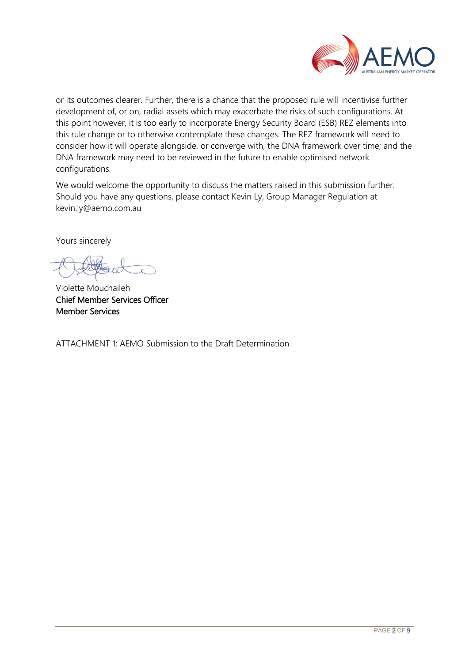

or its outcomes clearer. Further, there is a chance that the proposed rule will incentivise further development of, or on, radial assets which may exacerbate the risks of such configurations. At this point however, it is too early to incorporate Energy Security Board (ESB) REZ elements into this rule change or to otherwise contemplate these changes. The REZ framework will need to consider how it will operate alongside, or converge with, the DNA framework over time; and the DNA framework may need to be reviewed in the future to enable optimised network configurations.

We would welcome the opportunity to discuss the matters raised in this submission further. Should you have any questions, please contact Kevin Ly, Group Manager Regulation at kevin.ly@aemo.com.au

Yours sincerely

Violette Mouchaileh Chief Member Services Officer Member Services

ATTACHMENT 1: AEMO Submission to the Draft Determination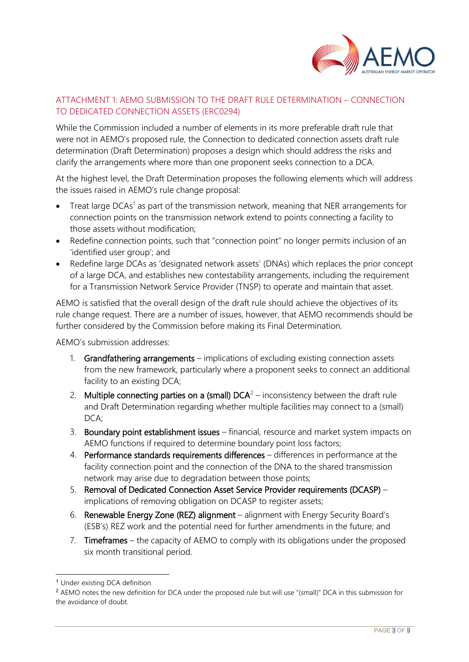

# ATTACHMENT 1: AEMO SUBMISSION TO THE DRAFT RULE DETERMINATION – CONNECTION TO DEDICATED CONNECTION ASSETS (ERC0294)

While the Commission included a number of elements in its more preferable draft rule that were not in AEMO's proposed rule, the Connection to dedicated connection assets draft rule determination (Draft Determination) proposes a design which should address the risks and clarify the arrangements where more than one proponent seeks connection to a DCA.

At the highest level, the Draft Determination proposes the following elements which will address the issues raised in AEMO's rule change proposal:

- Treat large  $DCAs<sup>1</sup>$  $DCAs<sup>1</sup>$  $DCAs<sup>1</sup>$  as part of the transmission network, meaning that NER arrangements for connection points on the transmission network extend to points connecting a facility to those assets without modification;
- Redefine connection points, such that "connection point" no longer permits inclusion of an 'identified user group'; and
- Redefine large DCAs as 'designated network assets' (DNAs) which replaces the prior concept of a large DCA, and establishes new contestability arrangements, including the requirement for a Transmission Network Service Provider (TNSP) to operate and maintain that asset.

AEMO is satisfied that the overall design of the draft rule should achieve the objectives of its rule change request. There are a number of issues, however, that AEMO recommends should be further considered by the Commission before making its Final Determination.

AEMO's submission addresses:

- 1. Grandfathering arrangements implications of excluding existing connection assets from the new framework, particularly where a proponent seeks to connect an additional facility to an existing DCA;
- [2](#page-2-1). Multiple connecting parties on a (small)  $DCA<sup>2</sup> -$  inconsistency between the draft rule and Draft Determination regarding whether multiple facilities may connect to a (small) DCA;
- 3. Boundary point establishment issues financial, resource and market system impacts on AEMO functions if required to determine boundary point loss factors;
- 4. Performance standards requirements differences differences in performance at the facility connection point and the connection of the DNA to the shared transmission network may arise due to degradation between those points;
- 5. Removal of Dedicated Connection Asset Service Provider requirements (DCASP) implications of removing obligation on DCASP to register assets;
- 6. Renewable Energy Zone (REZ) alignment alignment with Energy Security Board's (ESB's) REZ work and the potential need for further amendments in the future; and
- 7. **Timeframes** the capacity of AEMO to comply with its obligations under the proposed six month transitional period.

<span id="page-2-0"></span><sup>1</sup> Under existing DCA definition

<span id="page-2-1"></span><sup>2</sup> AEMO notes the new definition for DCA under the proposed rule but will use "(small)" DCA in this submission for the avoidance of doubt.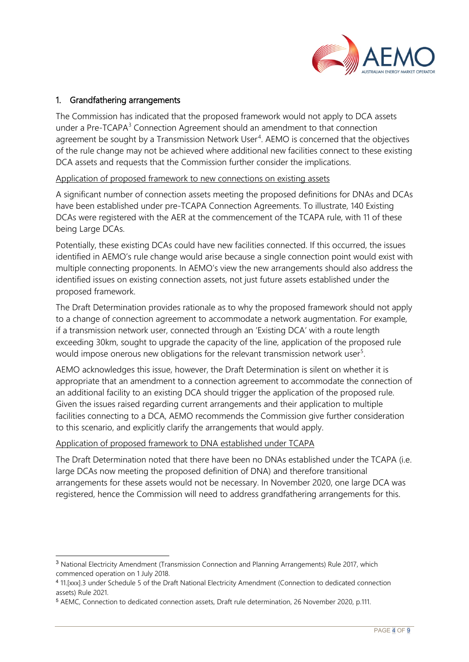

### 1. Grandfathering arrangements

The Commission has indicated that the proposed framework would not apply to DCA assets under a Pre-TCAPA<sup>[3](#page-3-0)</sup> Connection Agreement should an amendment to that connection agreement be sought by a Transmission Network User<sup>[4](#page-3-1)</sup>. AEMO is concerned that the objectives of the rule change may not be achieved where additional new facilities connect to these existing DCA assets and requests that the Commission further consider the implications.

#### Application of proposed framework to new connections on existing assets

A significant number of connection assets meeting the proposed definitions for DNAs and DCAs have been established under pre-TCAPA Connection Agreements. To illustrate, 140 Existing DCAs were registered with the AER at the commencement of the TCAPA rule, with 11 of these being Large DCAs.

Potentially, these existing DCAs could have new facilities connected. If this occurred, the issues identified in AEMO's rule change would arise because a single connection point would exist with multiple connecting proponents. In AEMO's view the new arrangements should also address the identified issues on existing connection assets, not just future assets established under the proposed framework.

The Draft Determination provides rationale as to why the proposed framework should not apply to a change of connection agreement to accommodate a network augmentation. For example, if a transmission network user, connected through an 'Existing DCA' with a route length exceeding 30km, sought to upgrade the capacity of the line, application of the proposed rule would impose onerous new obligations for the relevant transmission network user<sup>[5](#page-3-2)</sup>.

AEMO acknowledges this issue, however, the Draft Determination is silent on whether it is appropriate that an amendment to a connection agreement to accommodate the connection of an additional facility to an existing DCA should trigger the application of the proposed rule. Given the issues raised regarding current arrangements and their application to multiple facilities connecting to a DCA, AEMO recommends the Commission give further consideration to this scenario, and explicitly clarify the arrangements that would apply.

#### Application of proposed framework to DNA established under TCAPA

The Draft Determination noted that there have been no DNAs established under the TCAPA (i.e. large DCAs now meeting the proposed definition of DNA) and therefore transitional arrangements for these assets would not be necessary. In November 2020, one large DCA was registered, hence the Commission will need to address grandfathering arrangements for this.

<span id="page-3-0"></span><sup>3</sup> National Electricity Amendment (Transmission Connection and Planning Arrangements) Rule 2017, which commenced operation on 1 July 2018.

<span id="page-3-1"></span><sup>4</sup> 11.[xxx].3 under Schedule 5 of the Draft National Electricity Amendment (Connection to dedicated connection assets) Rule 2021.

<span id="page-3-2"></span><sup>5</sup> AEMC, Connection to dedicated connection assets, Draft rule determination, 26 November 2020, p.111.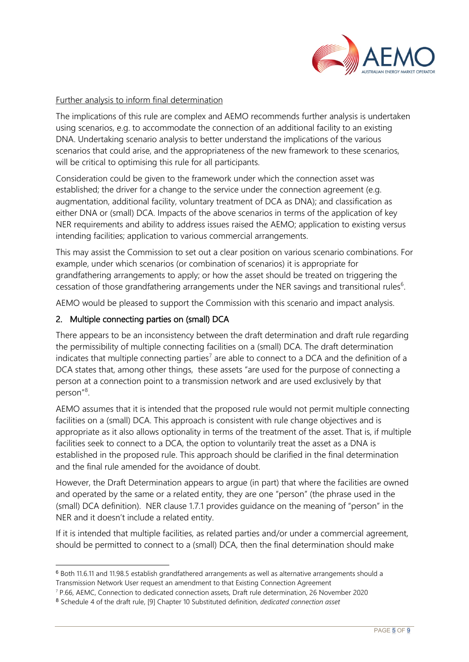

### Further analysis to inform final determination

The implications of this rule are complex and AEMO recommends further analysis is undertaken using scenarios, e.g. to accommodate the connection of an additional facility to an existing DNA. Undertaking scenario analysis to better understand the implications of the various scenarios that could arise, and the appropriateness of the new framework to these scenarios, will be critical to optimising this rule for all participants.

Consideration could be given to the framework under which the connection asset was established; the driver for a change to the service under the connection agreement (e.g. augmentation, additional facility, voluntary treatment of DCA as DNA); and classification as either DNA or (small) DCA. Impacts of the above scenarios in terms of the application of key NER requirements and ability to address issues raised the AEMO; application to existing versus intending facilities; application to various commercial arrangements.

This may assist the Commission to set out a clear position on various scenario combinations. For example, under which scenarios (or combination of scenarios) it is appropriate for grandfathering arrangements to apply; or how the asset should be treated on triggering the cessation of those grandfathering arrangements under the NER savings and transitional rules<sup>[6](#page-4-0)</sup>.

AEMO would be pleased to support the Commission with this scenario and impact analysis.

### 2. Multiple connecting parties on (small) DCA

There appears to be an inconsistency between the draft determination and draft rule regarding the permissibility of multiple connecting facilities on a (small) DCA. The draft determination indicates that multiple connecting parties<sup>[7](#page-4-1)</sup> are able to connect to a DCA and the definition of a DCA states that, among other things, these assets "are used for the purpose of connecting a person at a connection point to a transmission network and are used exclusively by that person"<sup>[8](#page-4-2)</sup>.

AEMO assumes that it is intended that the proposed rule would not permit multiple connecting facilities on a (small) DCA. This approach is consistent with rule change objectives and is appropriate as it also allows optionality in terms of the treatment of the asset. That is, if multiple facilities seek to connect to a DCA, the option to voluntarily treat the asset as a DNA is established in the proposed rule. This approach should be clarified in the final determination and the final rule amended for the avoidance of doubt.

However, the Draft Determination appears to argue (in part) that where the facilities are owned and operated by the same or a related entity, they are one "person" (the phrase used in the (small) DCA definition). NER clause 1.7.1 provides guidance on the meaning of "person" in the NER and it doesn't include a related entity.

If it is intended that multiple facilities, as related parties and/or under a commercial agreement, should be permitted to connect to a (small) DCA, then the final determination should make

<span id="page-4-0"></span><sup>6</sup> Both 11.6.11 and 11.98.5 establish grandfathered arrangements as well as alternative arrangements should a Transmission Network User request an amendment to that Existing Connection Agreement

<span id="page-4-1"></span><sup>7</sup> P.66, AEMC, Connection to dedicated connection assets, Draft rule determination, 26 November 2020

<span id="page-4-2"></span><sup>8</sup> Schedule 4 of the draft rule, [9] Chapter 10 Substituted definition, *dedicated connection asset*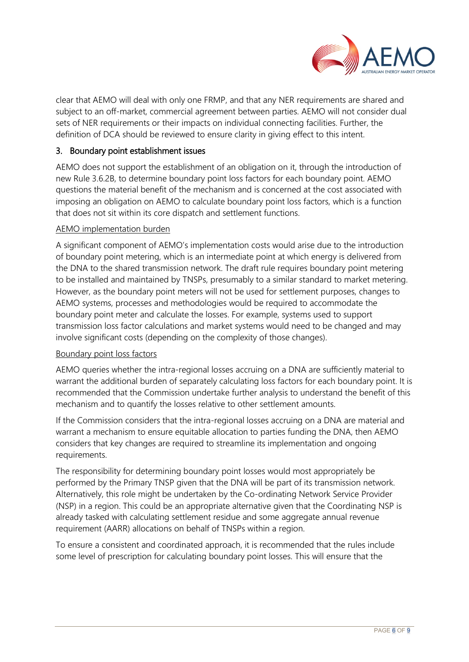

clear that AEMO will deal with only one FRMP, and that any NER requirements are shared and subject to an off-market, commercial agreement between parties. AEMO will not consider dual sets of NER requirements or their impacts on individual connecting facilities. Further, the definition of DCA should be reviewed to ensure clarity in giving effect to this intent.

# 3. Boundary point establishment issues

AEMO does not support the establishment of an obligation on it, through the introduction of new Rule 3.6.2B, to determine boundary point loss factors for each boundary point. AEMO questions the material benefit of the mechanism and is concerned at the cost associated with imposing an obligation on AEMO to calculate boundary point loss factors, which is a function that does not sit within its core dispatch and settlement functions.

### AEMO implementation burden

A significant component of AEMO's implementation costs would arise due to the introduction of boundary point metering, which is an intermediate point at which energy is delivered from the DNA to the shared transmission network. The draft rule requires boundary point metering to be installed and maintained by TNSPs, presumably to a similar standard to market metering. However, as the boundary point meters will not be used for settlement purposes, changes to AEMO systems, processes and methodologies would be required to accommodate the boundary point meter and calculate the losses. For example, systems used to support transmission loss factor calculations and market systems would need to be changed and may involve significant costs (depending on the complexity of those changes).

### Boundary point loss factors

AEMO queries whether the intra-regional losses accruing on a DNA are sufficiently material to warrant the additional burden of separately calculating loss factors for each boundary point. It is recommended that the Commission undertake further analysis to understand the benefit of this mechanism and to quantify the losses relative to other settlement amounts.

If the Commission considers that the intra-regional losses accruing on a DNA are material and warrant a mechanism to ensure equitable allocation to parties funding the DNA, then AEMO considers that key changes are required to streamline its implementation and ongoing requirements.

The responsibility for determining boundary point losses would most appropriately be performed by the Primary TNSP given that the DNA will be part of its transmission network. Alternatively, this role might be undertaken by the Co-ordinating Network Service Provider (NSP) in a region. This could be an appropriate alternative given that the Coordinating NSP is already tasked with calculating settlement residue and some aggregate annual revenue requirement (AARR) allocations on behalf of TNSPs within a region.

To ensure a consistent and coordinated approach, it is recommended that the rules include some level of prescription for calculating boundary point losses. This will ensure that the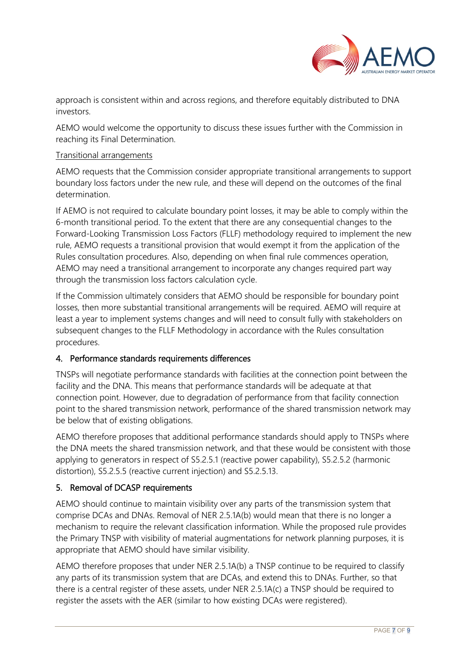

approach is consistent within and across regions, and therefore equitably distributed to DNA investors.

AEMO would welcome the opportunity to discuss these issues further with the Commission in reaching its Final Determination.

### Transitional arrangements

AEMO requests that the Commission consider appropriate transitional arrangements to support boundary loss factors under the new rule, and these will depend on the outcomes of the final determination.

If AEMO is not required to calculate boundary point losses, it may be able to comply within the 6-month transitional period. To the extent that there are any consequential changes to the Forward-Looking Transmission Loss Factors (FLLF) methodology required to implement the new rule, AEMO requests a transitional provision that would exempt it from the application of the Rules consultation procedures. Also, depending on when final rule commences operation, AEMO may need a transitional arrangement to incorporate any changes required part way through the transmission loss factors calculation cycle.

If the Commission ultimately considers that AEMO should be responsible for boundary point losses, then more substantial transitional arrangements will be required. AEMO will require at least a year to implement systems changes and will need to consult fully with stakeholders on subsequent changes to the FLLF Methodology in accordance with the Rules consultation procedures.

# 4. Performance standards requirements differences

TNSPs will negotiate performance standards with facilities at the connection point between the facility and the DNA. This means that performance standards will be adequate at that connection point. However, due to degradation of performance from that facility connection point to the shared transmission network, performance of the shared transmission network may be below that of existing obligations.

AEMO therefore proposes that additional performance standards should apply to TNSPs where the DNA meets the shared transmission network, and that these would be consistent with those applying to generators in respect of S5.2.5.1 (reactive power capability), S5.2.5.2 (harmonic distortion), S5.2.5.5 (reactive current injection) and S5.2.5.13.

# 5. Removal of DCASP requirements

AEMO should continue to maintain visibility over any parts of the transmission system that comprise DCAs and DNAs. Removal of NER 2.5.1A(b) would mean that there is no longer a mechanism to require the relevant classification information. While the proposed rule provides the Primary TNSP with visibility of material augmentations for network planning purposes, it is appropriate that AEMO should have similar visibility.

AEMO therefore proposes that under NER 2.5.1A(b) a TNSP continue to be required to classify any parts of its transmission system that are DCAs, and extend this to DNAs. Further, so that there is a central register of these assets, under NER 2.5.1A(c) a TNSP should be required to register the assets with the AER (similar to how existing DCAs were registered).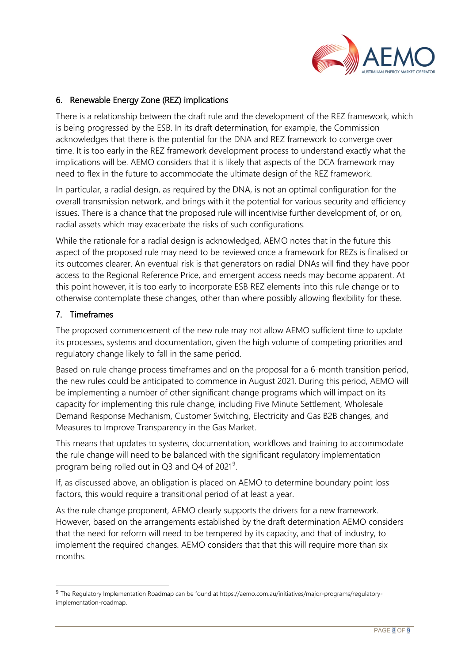

# 6. Renewable Energy Zone (REZ) implications

There is a relationship between the draft rule and the development of the REZ framework, which is being progressed by the ESB. In its draft determination, for example, the Commission acknowledges that there is the potential for the DNA and REZ framework to converge over time. It is too early in the REZ framework development process to understand exactly what the implications will be. AEMO considers that it is likely that aspects of the DCA framework may need to flex in the future to accommodate the ultimate design of the REZ framework.

In particular, a radial design, as required by the DNA, is not an optimal configuration for the overall transmission network, and brings with it the potential for various security and efficiency issues. There is a chance that the proposed rule will incentivise further development of, or on, radial assets which may exacerbate the risks of such configurations.

While the rationale for a radial design is acknowledged, AEMO notes that in the future this aspect of the proposed rule may need to be reviewed once a framework for REZs is finalised or its outcomes clearer. An eventual risk is that generators on radial DNAs will find they have poor access to the Regional Reference Price, and emergent access needs may become apparent. At this point however, it is too early to incorporate ESB REZ elements into this rule change or to otherwise contemplate these changes, other than where possibly allowing flexibility for these.

### 7. Timeframes

The proposed commencement of the new rule may not allow AEMO sufficient time to update its processes, systems and documentation, given the high volume of competing priorities and regulatory change likely to fall in the same period.

Based on rule change process timeframes and on the proposal for a 6-month transition period, the new rules could be anticipated to commence in August 2021. During this period, AEMO will be implementing a number of other significant change programs which will impact on its capacity for implementing this rule change, including Five Minute Settlement, Wholesale Demand Response Mechanism, Customer Switching, Electricity and Gas B2B changes, and Measures to Improve Transparency in the Gas Market.

This means that updates to systems, documentation, workflows and training to accommodate the rule change will need to be balanced with the significant regulatory implementation program being rolled out in Q3 and Q4 of 2021<sup>[9](#page-7-0)</sup>.

If, as discussed above, an obligation is placed on AEMO to determine boundary point loss factors, this would require a transitional period of at least a year.

As the rule change proponent, AEMO clearly supports the drivers for a new framework. However, based on the arrangements established by the draft determination AEMO considers that the need for reform will need to be tempered by its capacity, and that of industry, to implement the required changes. AEMO considers that that this will require more than six months.

<span id="page-7-0"></span><sup>9</sup> The Regulatory Implementation Roadmap can be found at https://aemo.com.au/initiatives/major-programs/regulatoryimplementation-roadmap.